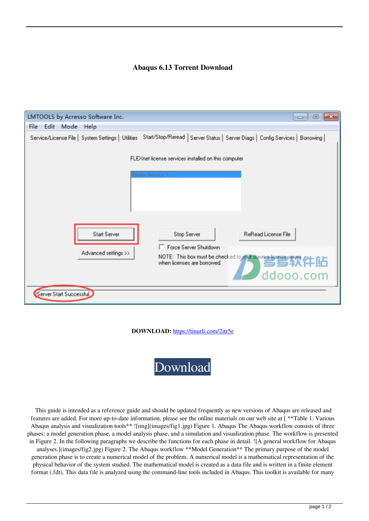## **Abaqus 6.13 Torrent Download**

| LMTOOLS by Acresso Software Inc.                                                                                                                                                                                                                  | $\mathbf{x}$<br>-0-0 |
|---------------------------------------------------------------------------------------------------------------------------------------------------------------------------------------------------------------------------------------------------|----------------------|
| Edit Mode Help<br><b>File</b>                                                                                                                                                                                                                     |                      |
| Service/License File   System Settings   Utilities   Start/Stop/Reread   Server Status   Server Diags   Config Services   Borrowing                                                                                                               |                      |
| FLEXnet license services installed on this computer<br>Flexim Service 1<br>Start Server<br>ReRead License File<br>Stop Server<br>Force Server Shutdown<br>Advanced settings >><br>NOTE: This box must be checked to abut downed sense and the DLD | ddooo.com            |
| Server Start Successful                                                                                                                                                                                                                           |                      |

**DOWNLOAD:** <https://tinurli.com/2itr5e>



 This guide is intended as a reference guide and should be updated frequently as new versions of Abaqus are released and features are added. For more up-to-date information, please see the online materials on our web site at [ \*\*Table 1: Various Abaqus analysis and visualization tools\*\* ![img](images/fig1.jpg) Figure 1. Abaqus The Abaqus workflow consists of three phases: a model generation phase, a model analysis phase, and a simulation and visualization phase. The workflow is presented in Figure 2. In the following paragraphs we describe the functions for each phase in detail. ![A general workflow for Abaqus analyses.](images/fig2.jpg) Figure 2. The Abaqus workflow \*\*Model Generation\*\* The primary purpose of the model generation phase is to create a numerical model of the problem. A numerical model is a mathematical representation of the physical behavior of the system studied. The mathematical model is created as a data file and is written in a finite element format (.fdt). This data file is analyzed using the command-line tools included in Abaqus. This toolkit is available for many